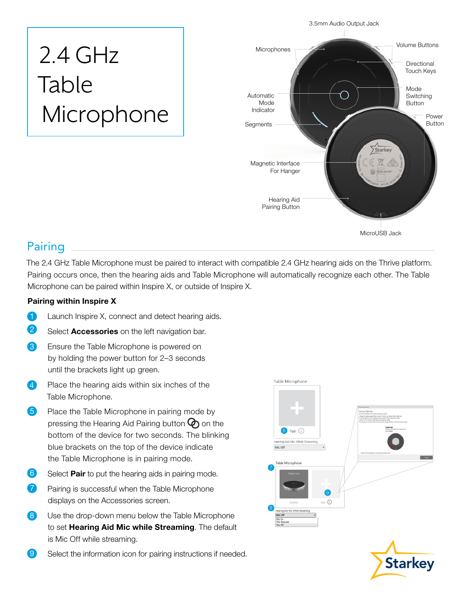# 2.4 GHz Table Microphone



## Pairing

The 2.4 GHz Table Microphone must be paired to interact with compatible 2.4 GHz hearing aids on the Thrive platform. Pairing occurs once, then the hearing aids and Table Microphone will automatically recognize each other. The Table Microphone can be paired within Inspire X, or outside of Inspire X.

#### Pairing within Inspire X

- **1** Launch Inspire X, connect and detect hearing aids.
- 2 Select Accessories on the left navigation bar.
- 8 Ensure the Table Microphone is powered on by holding the power button for 2–3 seconds until the brackets light up green.
- 4 Place the hearing aids within six inches of the Table Microphone.
- **5** Place the Table Microphone in pairing mode by pressing the Hearing Aid Pairing button  $\mathcal{O}_0$  on the bottom of the device for two seconds. The blinking blue brackets on the top of the device indicate the Table Microphone is in pairing mode.
- 6 Select **Pair** to put the hearing aids in pairing mode.
- **7** Pairing is successful when the Table Microphone displays on the Accessories screen.
- 8 Use the drop-down menu below the Table Microphone to set Hearing Aid Mic while Streaming. The default is Mic Off while streaming.
- **9** Select the information icon for pairing instructions if needed.





3.5mm Audio Output Jack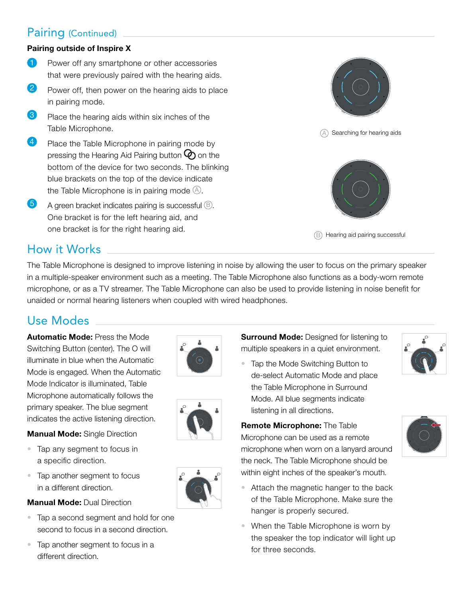## Pairing (Continued)

#### Pairing outside of Inspire X

- **1** Power off any smartphone or other accessories that were previously paired with the hearing aids.
- 2 Power off, then power on the hearing aids to place in pairing mode.
- 8 Place the hearing aids within six inches of the Table Microphone.
- **4** Place the Table Microphone in pairing mode by pressing the Hearing Aid Pairing button  $\mathcal{P}$  on the bottom of the device for two seconds. The blinking blue brackets on the top of the device indicate the Table Microphone is in pairing mode  $(A)$ .
- $\overline{5}$  A green bracket indicates pairing is successful  $\overline{6}$ . One bracket is for the left hearing aid, and one bracket is for the right hearing aid.



## How it Works

The Table Microphone is designed to improve listening in noise by allowing the user to focus on the primary speaker in a multiple-speaker environment such as a meeting. The Table Microphone also functions as a body-worn remote microphone, or as a TV streamer. The Table Microphone can also be used to provide listening in noise benefit for unaided or normal hearing listeners when coupled with wired headphones.

## Use Modes

Automatic Mode: Press the Mode Switching Button (center). The O will illuminate in blue when the Automatic Mode is engaged. When the Automatic Mode Indicator is illuminated, Table Microphone automatically follows the primary speaker. The blue segment indicates the active listening direction.

**Manual Mode: Single Direction** 

• Tap any segment to focus in

a specific direction.





**Surround Mode:** Designed for listening to multiple speakers in a quiet environment.

• Tap the Mode Switching Button to de-select Automatic Mode and place the Table Microphone in Surround Mode. All blue segments indicate listening in all directions.

Remote Microphone: The Table Microphone can be used as a remote microphone when worn on a lanyard around the neck. The Table Microphone should be within eight inches of the speaker's mouth.



- Attach the magnetic hanger to the back of the Table Microphone. Make sure the hanger is properly secured.
- When the Table Microphone is worn by the speaker the top indicator will light up for three seconds.
- Tap another segment to focus in a different direction. **Manual Mode: Dual Direction**
- Tap a second segment and hold for one second to focus in a second direction.
- Tap another segment to focus in a different direction.